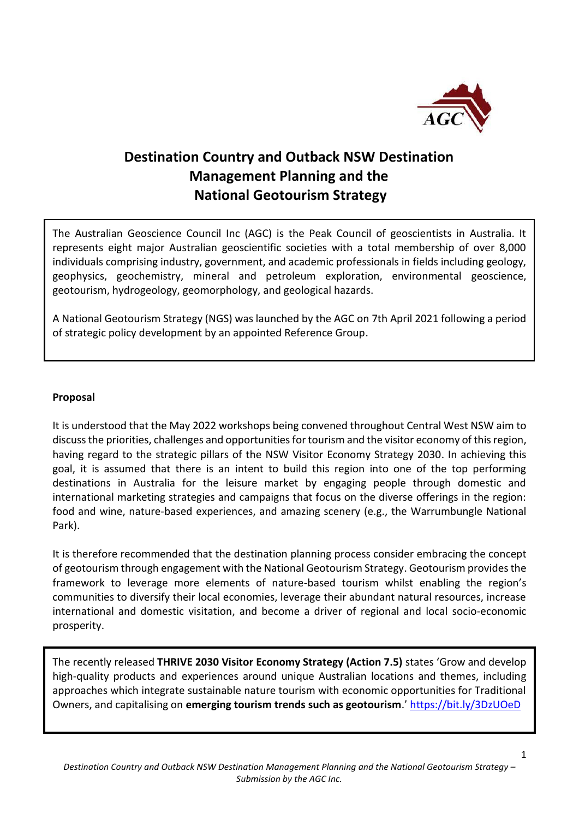

# **Destination Country and Outback NSW Destination Management Planning and the National Geotourism Strategy**

The Australian Geoscience Council Inc (AGC) is the Peak Council of geoscientists in Australia. It represents eight major Australian geoscientific societies with a total membership of over 8,000 individuals comprising industry, government, and academic professionals in fields including geology, geophysics, geochemistry, mineral and petroleum exploration, environmental geoscience, geotourism, hydrogeology, geomorphology, and geological hazards.

A National Geotourism Strategy (NGS) was launched by the AGC on 7th April 2021 following a period of strategic policy development by an appointed Reference Group.

#### **Proposal**

It is understood that the May 2022 workshops being convened throughout Central West NSW aim to discuss the priorities, challenges and opportunities for tourism and the visitor economy of this region, having regard to the strategic pillars of the NSW Visitor Economy Strategy 2030. In achieving this goal, it is assumed that there is an intent to build this region into one of the top performing destinations in Australia for the leisure market by engaging people through domestic and international marketing strategies and campaigns that focus on the diverse offerings in the region: food and wine, nature-based experiences, and amazing scenery (e.g., the Warrumbungle National Park).

It is therefore recommended that the destination planning process consider embracing the concept of geotourism through engagement with the National Geotourism Strategy. Geotourism provides the framework to leverage more elements of nature-based tourism whilst enabling the region's communities to diversify their local economies, leverage their abundant natural resources, increase international and domestic visitation, and become a driver of regional and local socio-economic prosperity.

The recently released **THRIVE 2030 Visitor Economy Strategy (Action 7.5)** states 'Grow and develop high-quality products and experiences around unique Australian locations and themes, including approaches which integrate sustainable nature tourism with economic opportunities for Traditional Owners, and capitalising on **emerging tourism trends such as geotourism**.' <https://bit.ly/3DzUOeD>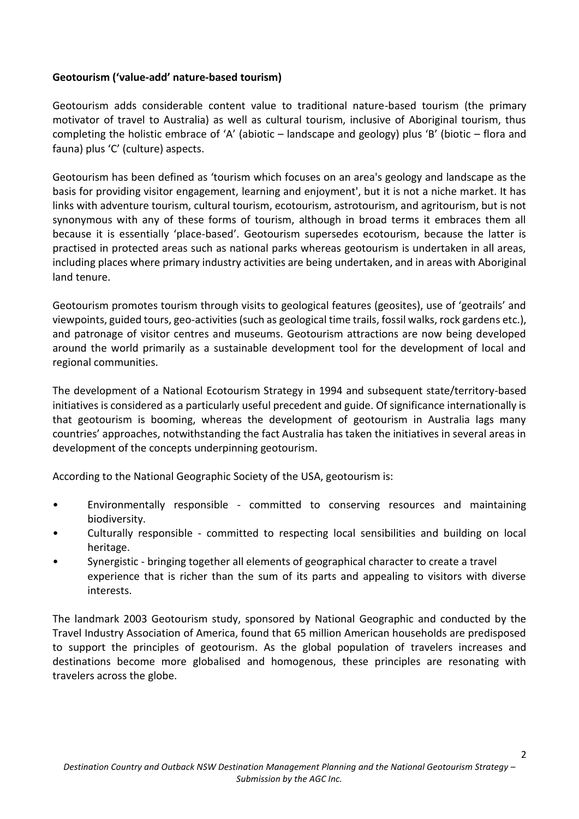### **Geotourism ('value-add' nature-based tourism)**

Geotourism adds considerable content value to traditional nature-based tourism (the primary motivator of travel to Australia) as well as cultural tourism, inclusive of Aboriginal tourism, thus completing the holistic embrace of 'A' (abiotic – landscape and geology) plus 'B' (biotic – flora and fauna) plus 'C' (culture) aspects.

Geotourism has been defined as 'tourism which focuses on an area's geology and landscape as the basis for providing visitor engagement, learning and enjoyment', but it is not a niche market. It has links with adventure tourism, cultural tourism, ecotourism, astrotourism, and agritourism, but is not synonymous with any of these forms of tourism, although in broad terms it embraces them all because it is essentially 'place-based'. Geotourism supersedes ecotourism, because the latter is practised in protected areas such as national parks whereas geotourism is undertaken in all areas, including places where primary industry activities are being undertaken, and in areas with Aboriginal land tenure.

Geotourism promotes tourism through visits to geological features (geosites), use of 'geotrails' and viewpoints, guided tours, geo-activities (such as geological time trails, fossil walks, rock gardens etc.), and patronage of visitor centres and museums. Geotourism attractions are now being developed around the world primarily as a sustainable development tool for the development of local and regional communities.

The development of a National Ecotourism Strategy in 1994 and subsequent state/territory-based initiatives is considered as a particularly useful precedent and guide. Of significance internationally is that geotourism is booming, whereas the development of geotourism in Australia lags many countries' approaches, notwithstanding the fact Australia has taken the initiatives in several areas in development of the concepts underpinning geotourism.

According to the National Geographic Society of the USA, geotourism is:

- Environmentally responsible committed to conserving resources and maintaining biodiversity.
- Culturally responsible committed to respecting local sensibilities and building on local heritage.
- Synergistic bringing together all elements of geographical character to create a travel experience that is richer than the sum of its parts and appealing to visitors with diverse interests.

The landmark 2003 Geotourism study, sponsored by National Geographic and conducted by the Travel Industry Association of America, found that 65 million American households are predisposed to support the principles of geotourism. As the global population of travelers increases and destinations become more globalised and homogenous, these principles are resonating with travelers across the globe.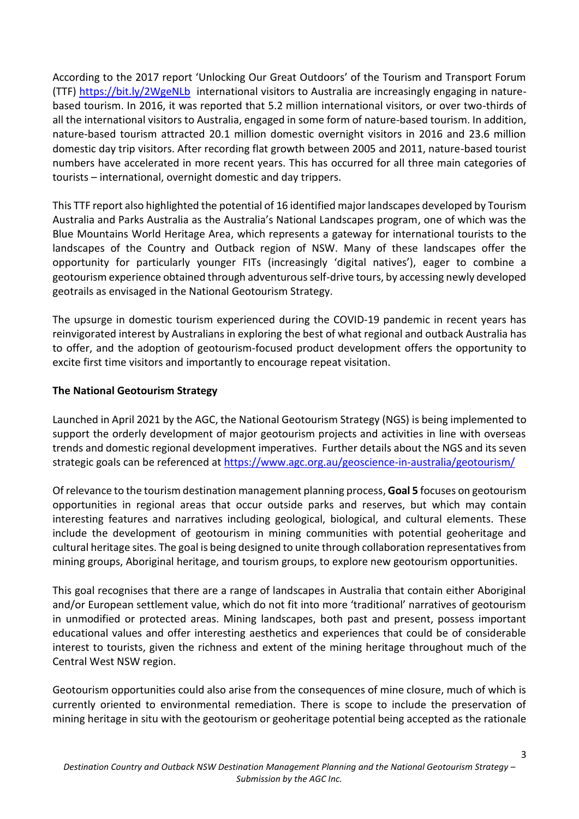According to the 2017 report 'Unlocking Our Great Outdoors' of the Tourism and Transport Forum (TTF)<https://bit.ly/2WgeNLb> international visitors to Australia are increasingly engaging in naturebased tourism. In 2016, it was reported that 5.2 million international visitors, or over two-thirds of all the international visitors to Australia, engaged in some form of nature-based tourism. In addition, nature-based tourism attracted 20.1 million domestic overnight visitors in 2016 and 23.6 million domestic day trip visitors. After recording flat growth between 2005 and 2011, nature-based tourist numbers have accelerated in more recent years. This has occurred for all three main categories of tourists – international, overnight domestic and day trippers.

This TTF report also highlighted the potential of 16 identified major landscapes developed by Tourism Australia and Parks Australia as the Australia's National Landscapes program, one of which was the Blue Mountains World Heritage Area, which represents a gateway for international tourists to the landscapes of the Country and Outback region of NSW. Many of these landscapes offer the opportunity for particularly younger FITs (increasingly 'digital natives'), eager to combine a geotourism experience obtained through adventurous self-drive tours, by accessing newly developed geotrails as envisaged in the National Geotourism Strategy.

The upsurge in domestic tourism experienced during the COVID-19 pandemic in recent years has reinvigorated interest by Australians in exploring the best of what regional and outback Australia has to offer, and the adoption of geotourism-focused product development offers the opportunity to excite first time visitors and importantly to encourage repeat visitation.

### **The National Geotourism Strategy**

Launched in April 2021 by the AGC, the National Geotourism Strategy (NGS) is being implemented to support the orderly development of major geotourism projects and activities in line with overseas trends and domestic regional development imperatives. Further details about the NGS and its seven strategic goals can be referenced at<https://www.agc.org.au/geoscience-in-australia/geotourism/>

Of relevance to the tourism destination management planning process, **Goal 5** focuses on geotourism opportunities in regional areas that occur outside parks and reserves, but which may contain interesting features and narratives including geological, biological, and cultural elements. These include the development of geotourism in mining communities with potential geoheritage and cultural heritage sites. The goal is being designed to unite through collaboration representatives from mining groups, Aboriginal heritage, and tourism groups, to explore new geotourism opportunities.

This goal recognises that there are a range of landscapes in Australia that contain either Aboriginal and/or European settlement value, which do not fit into more 'traditional' narratives of geotourism in unmodified or protected areas. Mining landscapes, both past and present, possess important educational values and offer interesting aesthetics and experiences that could be of considerable interest to tourists, given the richness and extent of the mining heritage throughout much of the Central West NSW region.

Geotourism opportunities could also arise from the consequences of mine closure, much of which is currently oriented to environmental remediation. There is scope to include the preservation of mining heritage in situ with the geotourism or geoheritage potential being accepted as the rationale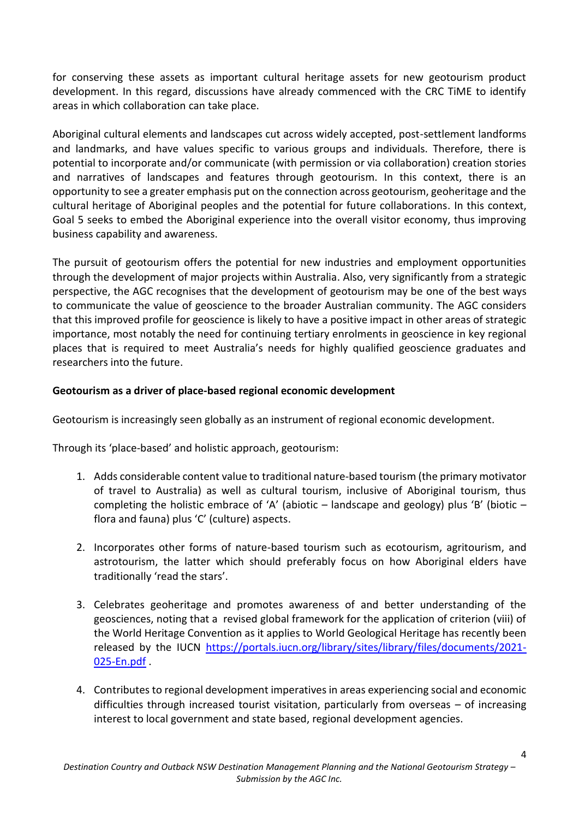for conserving these assets as important cultural heritage assets for new geotourism product development. In this regard, discussions have already commenced with the CRC TiME to identify areas in which collaboration can take place.

Aboriginal cultural elements and landscapes cut across widely accepted, post-settlement landforms and landmarks, and have values specific to various groups and individuals. Therefore, there is potential to incorporate and/or communicate (with permission or via collaboration) creation stories and narratives of landscapes and features through geotourism. In this context, there is an opportunity to see a greater emphasis put on the connection across geotourism, geoheritage and the cultural heritage of Aboriginal peoples and the potential for future collaborations. In this context, Goal 5 seeks to embed the Aboriginal experience into the overall visitor economy, thus improving business capability and awareness.

The pursuit of geotourism offers the potential for new industries and employment opportunities through the development of major projects within Australia. Also, very significantly from a strategic perspective, the AGC recognises that the development of geotourism may be one of the best ways to communicate the value of geoscience to the broader Australian community. The AGC considers that this improved profile for geoscience is likely to have a positive impact in other areas of strategic importance, most notably the need for continuing tertiary enrolments in geoscience in key regional places that is required to meet Australia's needs for highly qualified geoscience graduates and researchers into the future.

### **Geotourism as a driver of place-based regional economic development**

Geotourism is increasingly seen globally as an instrument of regional economic development.

Through its 'place-based' and holistic approach, geotourism:

- 1. Adds considerable content value to traditional nature-based tourism (the primary motivator of travel to Australia) as well as cultural tourism, inclusive of Aboriginal tourism, thus completing the holistic embrace of 'A' (abiotic  $-$  landscape and geology) plus 'B' (biotic  $$ flora and fauna) plus 'C' (culture) aspects.
- 2. Incorporates other forms of nature-based tourism such as ecotourism, agritourism, and astrotourism, the latter which should preferably focus on how Aboriginal elders have traditionally 'read the stars'.
- 3. Celebrates geoheritage and promotes awareness of and better understanding of the geosciences, noting that a revised global framework for the application of criterion (viii) of the World Heritage Convention as it applies to World Geological Heritage has recently been released by the IUCN [https://portals.iucn.org/library/sites/library/files/documents/2021-](https://portals.iucn.org/library/sites/library/files/documents/2021-025-En.pdf) [025-En.pdf](https://portals.iucn.org/library/sites/library/files/documents/2021-025-En.pdf) .
- 4. Contributes to regional development imperatives in areas experiencing social and economic difficulties through increased tourist visitation, particularly from overseas – of increasing interest to local government and state based, regional development agencies.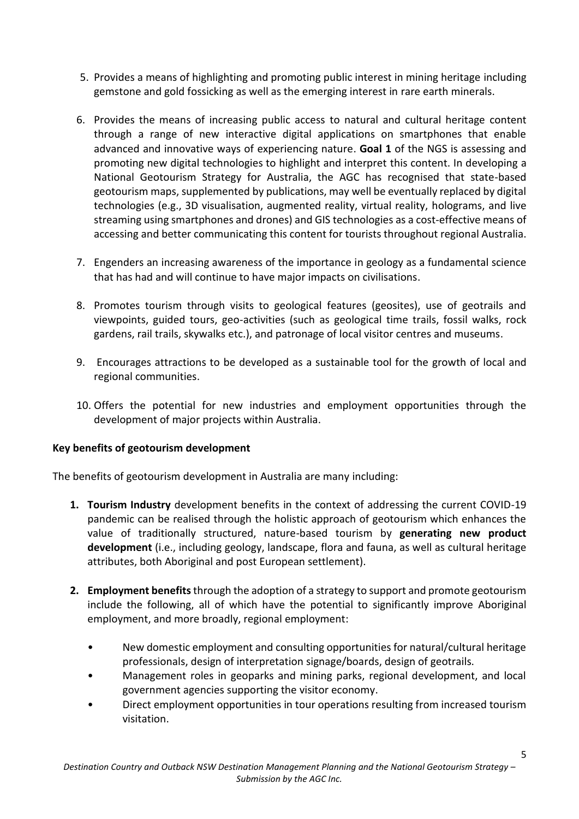- 5. Provides a means of highlighting and promoting public interest in mining heritage including gemstone and gold fossicking as well as the emerging interest in rare earth minerals.
- 6. Provides the means of increasing public access to natural and cultural heritage content through a range of new interactive digital applications on smartphones that enable advanced and innovative ways of experiencing nature. **Goal 1** of the NGS is assessing and promoting new digital technologies to highlight and interpret this content. In developing a National Geotourism Strategy for Australia, the AGC has recognised that state-based geotourism maps, supplemented by publications, may well be eventually replaced by digital technologies (e.g., 3D visualisation, augmented reality, virtual reality, holograms, and live streaming using smartphones and drones) and GIS technologies as a cost-effective means of accessing and better communicating this content for tourists throughout regional Australia.
- 7. Engenders an increasing awareness of the importance in geology as a fundamental science that has had and will continue to have major impacts on civilisations.
- 8. Promotes tourism through visits to geological features (geosites), use of geotrails and viewpoints, guided tours, geo-activities (such as geological time trails, fossil walks, rock gardens, rail trails, skywalks etc.), and patronage of local visitor centres and museums.
- 9. Encourages attractions to be developed as a sustainable tool for the growth of local and regional communities.
- 10. Offers the potential for new industries and employment opportunities through the development of major projects within Australia.

### **Key benefits of geotourism development**

The benefits of geotourism development in Australia are many including:

- **1. Tourism Industry** development benefits in the context of addressing the current COVID-19 pandemic can be realised through the holistic approach of geotourism which enhances the value of traditionally structured, nature-based tourism by **generating new product development** (i.e., including geology, landscape, flora and fauna, as well as cultural heritage attributes, both Aboriginal and post European settlement).
- **2. Employment benefits**through the adoption of a strategy to support and promote geotourism include the following, all of which have the potential to significantly improve Aboriginal employment, and more broadly, regional employment:
	- New domestic employment and consulting opportunities for natural/cultural heritage professionals, design of interpretation signage/boards, design of geotrails.
	- Management roles in geoparks and mining parks, regional development, and local government agencies supporting the visitor economy.
	- Direct employment opportunities in tour operations resulting from increased tourism visitation.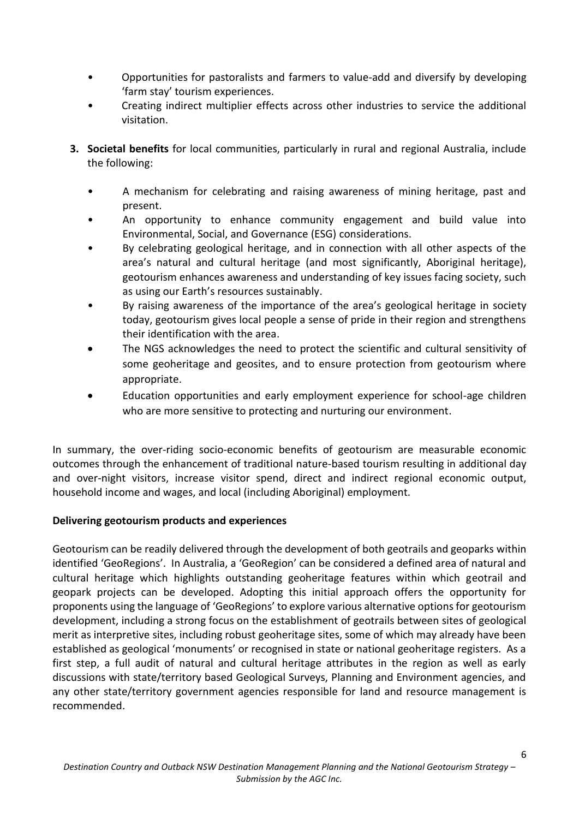- Opportunities for pastoralists and farmers to value-add and diversify by developing 'farm stay' tourism experiences.
- Creating indirect multiplier effects across other industries to service the additional visitation.
- **3. Societal benefits** for local communities, particularly in rural and regional Australia, include the following:
	- A mechanism for celebrating and raising awareness of mining heritage, past and present.
	- An opportunity to enhance community engagement and build value into Environmental, Social, and Governance (ESG) considerations.
	- By celebrating geological heritage, and in connection with all other aspects of the area's natural and cultural heritage (and most significantly, Aboriginal heritage), geotourism enhances awareness and understanding of key issues facing society, such as using our Earth's resources sustainably.
	- By raising awareness of the importance of the area's geological heritage in society today, geotourism gives local people a sense of pride in their region and strengthens their identification with the area.
	- The NGS acknowledges the need to protect the scientific and cultural sensitivity of some geoheritage and geosites, and to ensure protection from geotourism where appropriate.
	- Education opportunities and early employment experience for school-age children who are more sensitive to protecting and nurturing our environment.

In summary, the over-riding socio-economic benefits of geotourism are measurable economic outcomes through the enhancement of traditional nature-based tourism resulting in additional day and over-night visitors, increase visitor spend, direct and indirect regional economic output, household income and wages, and local (including Aboriginal) employment.

### **Delivering geotourism products and experiences**

Geotourism can be readily delivered through the development of both geotrails and geoparks within identified 'GeoRegions'. In Australia, a 'GeoRegion' can be considered a defined area of natural and cultural heritage which highlights outstanding geoheritage features within which geotrail and geopark projects can be developed. Adopting this initial approach offers the opportunity for proponents using the language of 'GeoRegions' to explore various alternative options for geotourism development, including a strong focus on the establishment of geotrails between sites of geological merit as interpretive sites, including robust geoheritage sites, some of which may already have been established as geological 'monuments' or recognised in state or national geoheritage registers. As a first step, a full audit of natural and cultural heritage attributes in the region as well as early discussions with state/territory based Geological Surveys, Planning and Environment agencies, and any other state/territory government agencies responsible for land and resource management is recommended.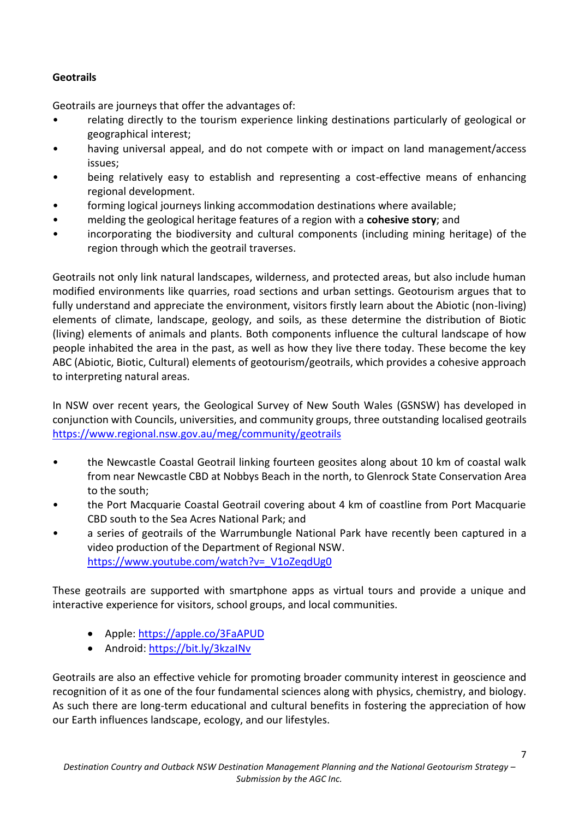## **Geotrails**

Geotrails are journeys that offer the advantages of:

- relating directly to the tourism experience linking destinations particularly of geological or geographical interest;
- having universal appeal, and do not compete with or impact on land management/access issues;
- being relatively easy to establish and representing a cost-effective means of enhancing regional development.
- forming logical journeys linking accommodation destinations where available;
- melding the geological heritage features of a region with a **cohesive story**; and
- incorporating the biodiversity and cultural components (including mining heritage) of the region through which the geotrail traverses.

Geotrails not only link natural landscapes, wilderness, and protected areas, but also include human modified environments like quarries, road sections and urban settings. Geotourism argues that to fully understand and appreciate the environment, visitors firstly learn about the Abiotic (non-living) elements of climate, landscape, geology, and soils, as these determine the distribution of Biotic (living) elements of animals and plants. Both components influence the cultural landscape of how people inhabited the area in the past, as well as how they live there today. These become the key ABC (Abiotic, Biotic, Cultural) elements of geotourism/geotrails, which provides a cohesive approach to interpreting natural areas.

In NSW over recent years, the Geological Survey of New South Wales (GSNSW) has developed in conjunction with Councils, universities, and community groups, three outstanding localised geotrails <https://www.regional.nsw.gov.au/meg/community/geotrails>

- the Newcastle Coastal Geotrail linking fourteen geosites along about 10 km of coastal walk from near Newcastle CBD at Nobbys Beach in the north, to Glenrock State Conservation Area to the south;
- the Port Macquarie Coastal Geotrail covering about 4 km of coastline from Port Macquarie CBD south to the Sea Acres National Park; and
- a series of geotrails of the Warrumbungle National Park have recently been captured in a video production of the Department of Regional NSW. [https://www.youtube.com/watch?v=\\_V1oZeqdUg0](https://www.youtube.com/watch?v=_V1oZeqdUg0)

These geotrails are supported with smartphone apps as virtual tours and provide a unique and interactive experience for visitors, school groups, and local communities.

- Apple:<https://apple.co/3FaAPUD>
- Android:<https://bit.ly/3kzaINv>

Geotrails are also an effective vehicle for promoting broader community interest in geoscience and recognition of it as one of the four fundamental sciences along with physics, chemistry, and biology. As such there are long-term educational and cultural benefits in fostering the appreciation of how our Earth influences landscape, ecology, and our lifestyles.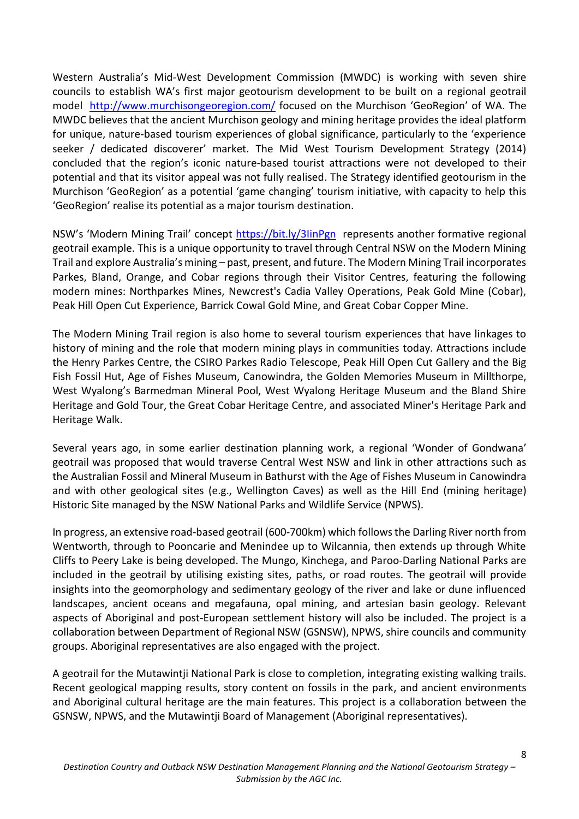Western Australia's Mid-West Development Commission (MWDC) is working with seven shire councils to establish WA's first major geotourism development to be built on a regional geotrail model <http://www.murchisongeoregion.com/> focused on the Murchison 'GeoRegion' of WA. The MWDC believes that the ancient Murchison geology and mining heritage provides the ideal platform for unique, nature-based tourism experiences of global significance, particularly to the 'experience seeker / dedicated discoverer' market. The Mid West Tourism Development Strategy (2014) concluded that the region's iconic nature-based tourist attractions were not developed to their potential and that its visitor appeal was not fully realised. The Strategy identified geotourism in the Murchison 'GeoRegion' as a potential 'game changing' tourism initiative, with capacity to help this 'GeoRegion' realise its potential as a major tourism destination.

NSW's 'Modern Mining Trail' concept <https://bit.ly/3IinPgn> represents another formative regional geotrail example. This is a unique opportunity to travel through Central NSW on the Modern Mining Trail and explore Australia's mining – past, present, and future. The Modern Mining Trail incorporates Parkes, Bland, Orange, and Cobar regions through their Visitor Centres, featuring the following modern mines: Northparkes Mines, Newcrest's Cadia Valley Operations, Peak Gold Mine (Cobar), Peak Hill Open Cut Experience, Barrick Cowal Gold Mine, and Great Cobar Copper Mine.

The Modern Mining Trail region is also home to several tourism experiences that have linkages to history of mining and the role that modern mining plays in communities today. Attractions include the Henry Parkes Centre, the CSIRO Parkes Radio Telescope, Peak Hill Open Cut Gallery and the Big Fish Fossil Hut, Age of Fishes Museum, Canowindra, the Golden Memories Museum in Millthorpe, West Wyalong's Barmedman Mineral Pool, West Wyalong Heritage Museum and the Bland Shire Heritage and Gold Tour, the Great Cobar Heritage Centre, and associated Miner's Heritage Park and Heritage Walk.

Several years ago, in some earlier destination planning work, a regional 'Wonder of Gondwana' geotrail was proposed that would traverse Central West NSW and link in other attractions such as the Australian Fossil and Mineral Museum in Bathurst with the Age of Fishes Museum in Canowindra and with other geological sites (e.g., Wellington Caves) as well as the Hill End (mining heritage) Historic Site managed by the NSW National Parks and Wildlife Service (NPWS).

In progress, an extensive road-based geotrail (600-700km) which follows the Darling River north from Wentworth, through to Pooncarie and Menindee up to Wilcannia, then extends up through White Cliffs to Peery Lake is being developed. The Mungo, Kinchega, and Paroo-Darling National Parks are included in the geotrail by utilising existing sites, paths, or road routes. The geotrail will provide insights into the geomorphology and sedimentary geology of the river and lake or dune influenced landscapes, ancient oceans and megafauna, opal mining, and artesian basin geology. Relevant aspects of Aboriginal and post-European settlement history will also be included. The project is a collaboration between Department of Regional NSW (GSNSW), NPWS, shire councils and community groups. Aboriginal representatives are also engaged with the project.

A geotrail for the Mutawintji National Park is close to completion, integrating existing walking trails. Recent geological mapping results, story content on fossils in the park, and ancient environments and Aboriginal cultural heritage are the main features. This project is a collaboration between the GSNSW, NPWS, and the Mutawintji Board of Management (Aboriginal representatives).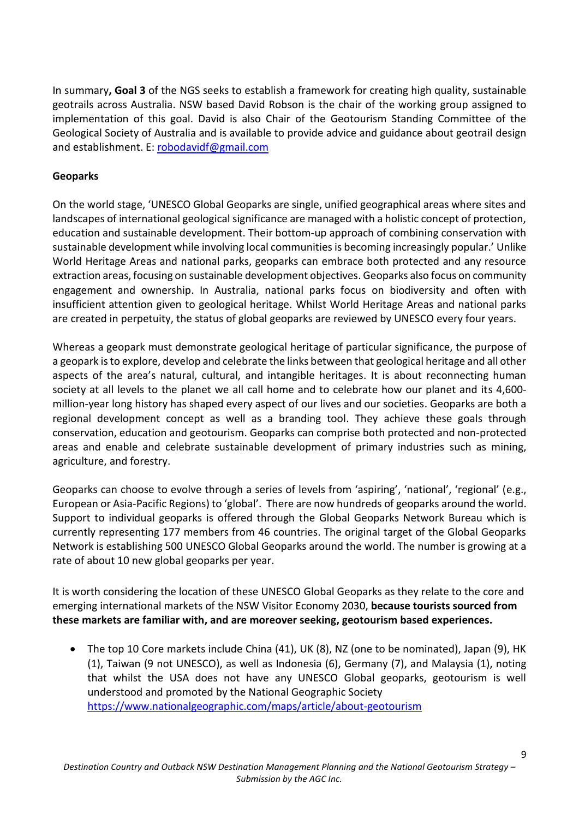In summary**, Goal 3** of the NGS seeks to establish a framework for creating high quality, sustainable geotrails across Australia. NSW based David Robson is the chair of the working group assigned to implementation of this goal. David is also Chair of the Geotourism Standing Committee of the Geological Society of Australia and is available to provide advice and guidance about geotrail design and establishment. E: [robodavidf@gmail.com](mailto:robodavidf@gmail.com)

#### **Geoparks**

On the world stage, 'UNESCO Global Geoparks are single, unified geographical areas where sites and landscapes of international geological significance are managed with a holistic concept of protection, education and sustainable development. Their bottom-up approach of combining conservation with sustainable development while involving local communities is becoming increasingly popular.' Unlike World Heritage Areas and national parks, geoparks can embrace both protected and any resource extraction areas, focusing on sustainable development objectives. Geoparks also focus on community engagement and ownership. In Australia, national parks focus on biodiversity and often with insufficient attention given to geological heritage. Whilst World Heritage Areas and national parks are created in perpetuity, the status of global geoparks are reviewed by UNESCO every four years.

Whereas a geopark must demonstrate geological heritage of particular significance, the purpose of a geopark is to explore, develop and celebrate the links between that geological heritage and all other aspects of the area's natural, cultural, and intangible heritages. It is about reconnecting human society at all levels to the planet we all call home and to celebrate how our planet and its 4,600 million-year long history has shaped every aspect of our lives and our societies. Geoparks are both a regional development concept as well as a branding tool. They achieve these goals through conservation, education and geotourism. Geoparks can comprise both protected and non-protected areas and enable and celebrate sustainable development of primary industries such as mining, agriculture, and forestry.

Geoparks can choose to evolve through a series of levels from 'aspiring', 'national', 'regional' (e.g., European or Asia-Pacific Regions) to 'global'. There are now hundreds of geoparks around the world. Support to individual geoparks is offered through the Global Geoparks Network Bureau which is currently representing 177 members from 46 countries. The original target of the Global Geoparks Network is establishing 500 UNESCO Global Geoparks around the world. The number is growing at a rate of about 10 new global geoparks per year.

It is worth considering the location of these UNESCO Global Geoparks as they relate to the core and emerging international markets of the NSW Visitor Economy 2030, **because tourists sourced from these markets are familiar with, and are moreover seeking, geotourism based experiences.**

• The top 10 Core markets include China (41), UK (8), NZ (one to be nominated), Japan (9), HK (1), Taiwan (9 not UNESCO), as well as Indonesia (6), Germany (7), and Malaysia (1), noting that whilst the USA does not have any UNESCO Global geoparks, geotourism is well understood and promoted by the National Geographic Society <https://www.nationalgeographic.com/maps/article/about-geotourism>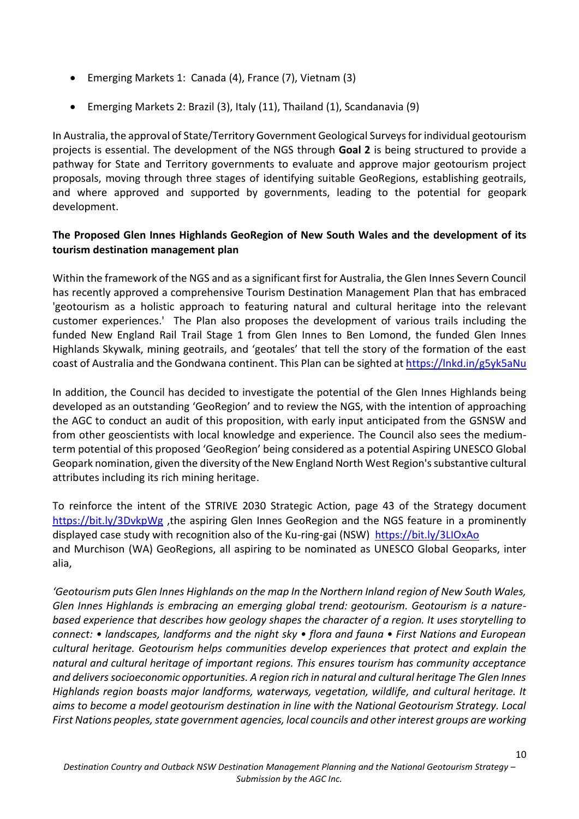- Emerging Markets 1: Canada (4), France (7), Vietnam (3)
- Emerging Markets 2: Brazil (3), Italy (11), Thailand (1), Scandanavia (9)

In Australia, the approval of State/Territory Government Geological Surveys for individual geotourism projects is essential. The development of the NGS through **Goal 2** is being structured to provide a pathway for State and Territory governments to evaluate and approve major geotourism project proposals, moving through three stages of identifying suitable GeoRegions, establishing geotrails, and where approved and supported by governments, leading to the potential for geopark development.

### **The Proposed Glen Innes Highlands GeoRegion of New South Wales and the development of its tourism destination management plan**

Within the framework of the NGS and as a significant first for Australia, the Glen Innes Severn Council has recently approved a comprehensive Tourism Destination Management Plan that has embraced 'geotourism as a holistic approach to featuring natural and cultural heritage into the relevant customer experiences.' The Plan also proposes the development of various trails including the funded New England Rail Trail Stage 1 from Glen Innes to Ben Lomond, the funded Glen Innes Highlands Skywalk, mining geotrails, and 'geotales' that tell the story of the formation of the east coast of Australia and the Gondwana continent. This Plan can be sighted a[t https://lnkd.in/g5yk5aNu](https://lnkd.in/g5yk5aNu)

In addition, the Council has decided to investigate the potential of the Glen Innes Highlands being developed as an outstanding 'GeoRegion' and to review the NGS, with the intention of approaching the AGC to conduct an audit of this proposition, with early input anticipated from the GSNSW and from other geoscientists with local knowledge and experience. The Council also sees the mediumterm potential of this proposed 'GeoRegion' being considered as a potential Aspiring UNESCO Global Geopark nomination, given the diversity of the New England North West Region's substantive cultural attributes including its rich mining heritage.

To reinforce the intent of the STRIVE 2030 Strategic Action, page 43 of the Strategy document <https://bit.ly/3DvkpWg> ,the aspiring Glen Innes GeoRegion and the NGS feature in a prominently displayed case study with recognition also of the Ku-ring-gai (NSW) <https://bit.ly/3LIOxAo> and Murchison (WA) GeoRegions, all aspiring to be nominated as UNESCO Global Geoparks, inter alia,

*'Geotourism puts Glen Innes Highlands on the map In the Northern Inland region of New South Wales, Glen Innes Highlands is embracing an emerging global trend: geotourism. Geotourism is a naturebased experience that describes how geology shapes the character of a region. It uses storytelling to connect: • landscapes, landforms and the night sky • flora and fauna • First Nations and European cultural heritage. Geotourism helps communities develop experiences that protect and explain the natural and cultural heritage of important regions. This ensures tourism has community acceptance and delivers socioeconomic opportunities. A region rich in natural and cultural heritage The Glen Innes Highlands region boasts major landforms, waterways, vegetation, wildlife, and cultural heritage. It aims to become a model geotourism destination in line with the National Geotourism Strategy. Local First Nations peoples, state government agencies, local councils and other interest groups are working*